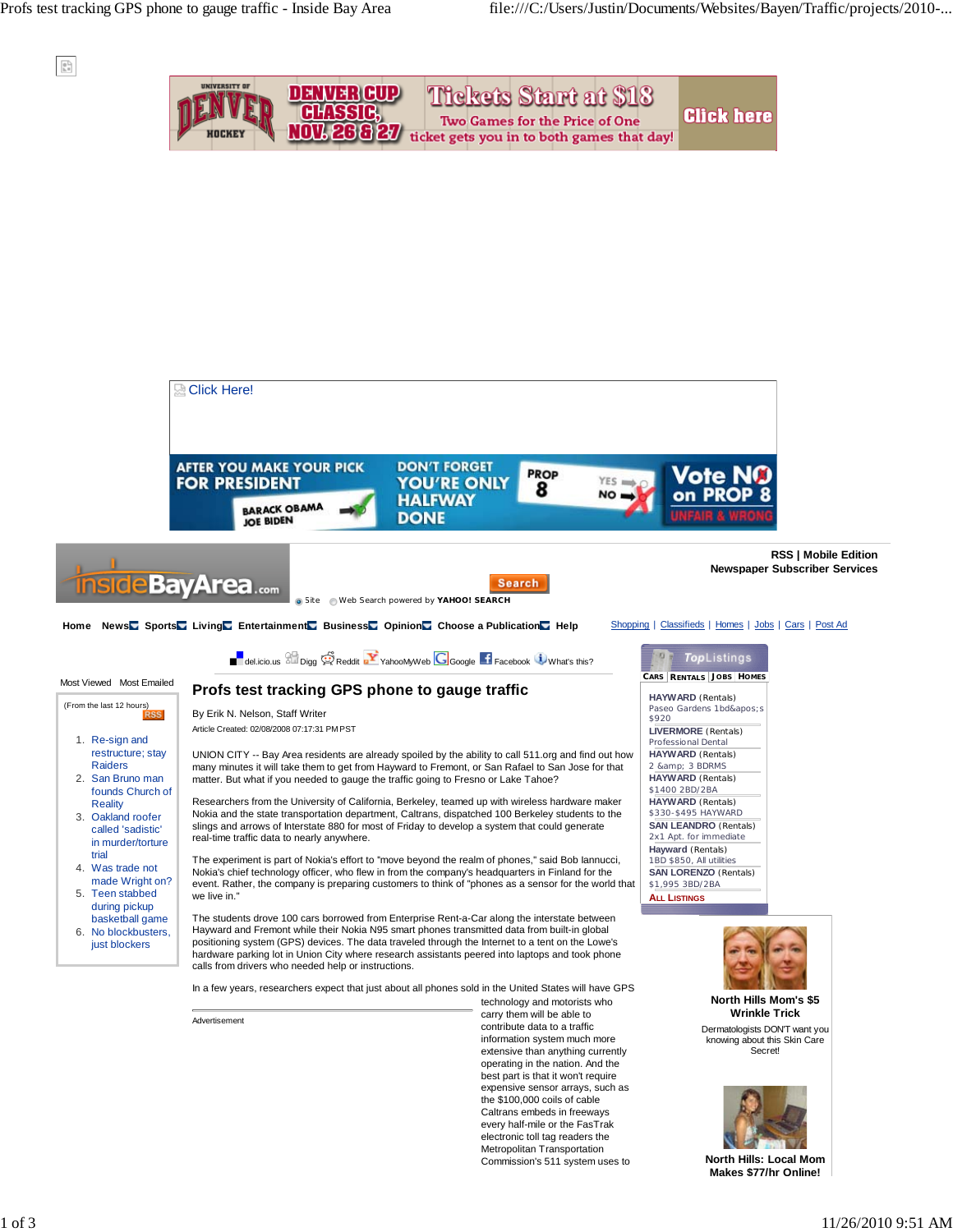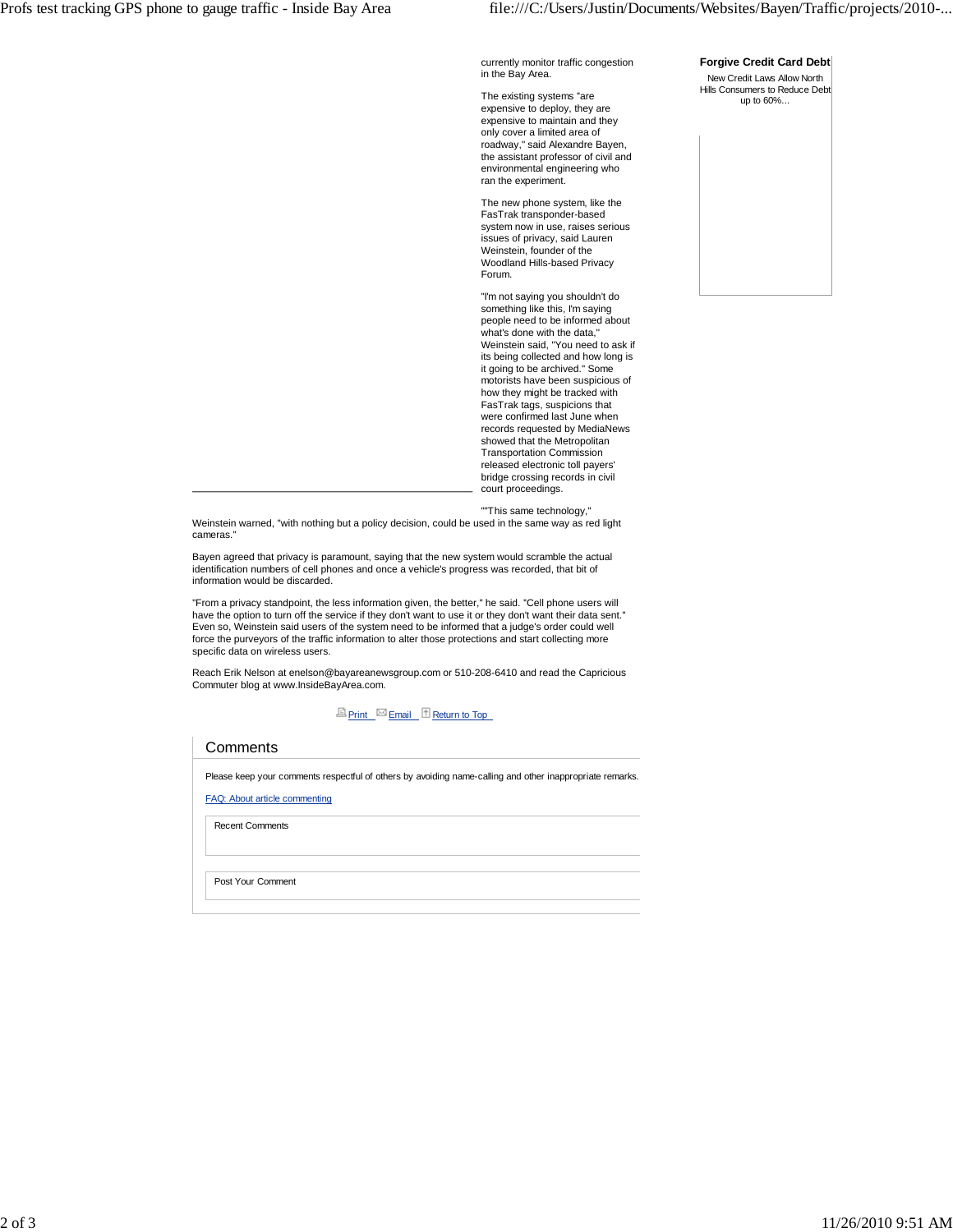currently monitor traffic congestion in the Bay Area.

The existing systems ''are expensive to deploy, they are expensive to maintain and they only cover a limited area of roadway,'' said Alexandre Bayen, the assistant professor of civil and environmental engineering who ran the experiment.

The new phone system, like the FasTrak transponder-based system now in use, raises serious issues of privacy, said Lauren Weinstein, founder of the Woodland Hills-based Privacy Forum.

''I'm not saying you shouldn't do something like this, I'm saying people need to be informed about what's done with the data," Weinstein said, "You need to ask if its being collected and how long is it going to be archived.'' Some motorists have been suspicious of how they might be tracked with FasTrak tags, suspicions that were confirmed last June when records requested by MediaNews showed that the Metropolitan Transportation Commission released electronic toll payers' bridge crossing records in civil court proceedings.

''''This same technology,''

Weinstein warned, "with nothing but a policy decision, could be used in the same way as red light cameras.''

Bayen agreed that privacy is paramount, saying that the new system would scramble the actual identification numbers of cell phones and once a vehicle's progress was recorded, that bit of information would be discarded.

''From a privacy standpoint, the less information given, the better,'' he said. ''Cell phone users will have the option to turn off the service if they don't want to use it or they don't want their data sent.'' Even so, Weinstein said users of the system need to be informed that a judge's order could well force the purveyors of the traffic information to alter those protections and start collecting more specific data on wireless users.

Reach Erik Nelson at enelson@bayareanewsgroup.com or 510-208-6410 and read the Capricious Commuter blog at www.InsideBayArea.com.

**Print** Email **Return to Top** 

| Comments                                                                                                 |
|----------------------------------------------------------------------------------------------------------|
| Please keep your comments respectful of others by avoiding name-calling and other inappropriate remarks. |
| FAQ: About article commenting                                                                            |
| <b>Recent Comments</b>                                                                                   |
|                                                                                                          |
| Post Your Comment                                                                                        |

## **Forgive Credit Card Debt**

New Credit Laws Allow North Hills Consumers to Reduce Debt up to 60%...